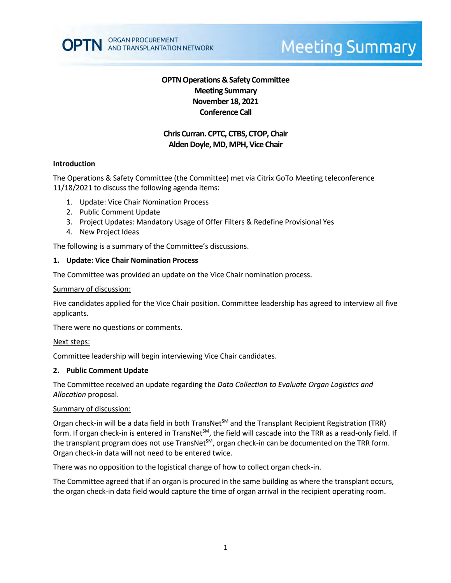

# **Meeting Summary**

# **OPTN Operations & Safety Committee Meeting Summary November 18, 2021 Conference Call**

# **Chris Curran. CPTC, CTBS, CTOP, Chair** Alden Doyle, MD, MPH, Vice Chair

#### **Introduction**

The Operations & Safety Committee (the Committee) met via Citrix GoTo Meeting teleconference 11/18/2021 to discuss the following agenda items:

- 1. Update: Vice Chair Nomination Process
- 2. Public Comment Update
- 3. Project Updates: Mandatory Usage of Offer Filters & Redefine Provisional Yes
- 4. New Project Ideas

The following is a summary of the Committee's discussions.

#### **1. Update: Vice Chair Nomination Process**

The Committee was provided an update on the Vice Chair nomination process.

#### Summary of discussion:

Five candidates applied for the Vice Chair position. Committee leadership has agreed to interview all five applicants.

There were no questions or comments.

#### Next steps:

Committee leadership will begin interviewing Vice Chair candidates.

#### **2. Public Comment Update**

The Committee received an update regarding the *Data Collection to Evaluate Organ Logistics and Allocation* proposal.

#### Summary of discussion:

Organ check-in will be a data field in both TransNet<sup>SM</sup> and the Transplant Recipient Registration (TRR) form. If organ check-in is entered in TransNet<sup>SM</sup>, the field will cascade into the TRR as a read-only field. If the transplant program does not use TransNet<sup>SM</sup>, organ check-in can be documented on the TRR form. Organ check-in data will not need to be entered twice.

There was no opposition to the logistical change of how to collect organ check-in.

The Committee agreed that if an organ is procured in the same building as where the transplant occurs, the organ check-in data field would capture the time of organ arrival in the recipient operating room.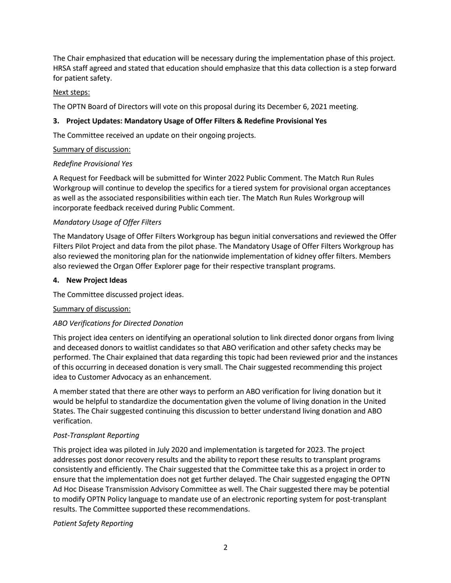The Chair emphasized that education will be necessary during the implementation phase of this project. HRSA staff agreed and stated that education should emphasize that this data collection is a step forward for patient safety.

## Next steps:

The OPTN Board of Directors will vote on this proposal during its December 6, 2021 meeting.

## **3. Project Updates: Mandatory Usage of Offer Filters & Redefine Provisional Yes**

The Committee received an update on their ongoing projects.

## Summary of discussion:

## *Redefine Provisional Yes*

A Request for Feedback will be submitted for Winter 2022 Public Comment. The Match Run Rules Workgroup will continue to develop the specifics for a tiered system for provisional organ acceptances as well as the associated responsibilities within each tier. The Match Run Rules Workgroup will incorporate feedback received during Public Comment.

## *Mandatory Usage of Offer Filters*

The Mandatory Usage of Offer Filters Workgroup has begun initial conversations and reviewed the Offer Filters Pilot Project and data from the pilot phase. The Mandatory Usage of Offer Filters Workgroup has also reviewed the monitoring plan for the nationwide implementation of kidney offer filters. Members also reviewed the Organ Offer Explorer page for their respective transplant programs.

## **4. New Project Ideas**

The Committee discussed project ideas.

## Summary of discussion:

## *ABO Verifications for Directed Donation*

This project idea centers on identifying an operational solution to link directed donor organs from living and deceased donors to waitlist candidates so that ABO verification and other safety checks may be performed. The Chair explained that data regarding this topic had been reviewed prior and the instances of this occurring in deceased donation is very small. The Chair suggested recommending this project idea to Customer Advocacy as an enhancement.

A member stated that there are other ways to perform an ABO verification for living donation but it would be helpful to standardize the documentation given the volume of living donation in the United States. The Chair suggested continuing this discussion to better understand living donation and ABO verification.

## *Post-Transplant Reporting*

This project idea was piloted in July 2020 and implementation is targeted for 2023. The project addresses post donor recovery results and the ability to report these results to transplant programs consistently and efficiently. The Chair suggested that the Committee take this as a project in order to ensure that the implementation does not get further delayed. The Chair suggested engaging the OPTN Ad Hoc Disease Transmission Advisory Committee as well. The Chair suggested there may be potential to modify OPTN Policy language to mandate use of an electronic reporting system for post-transplant results. The Committee supported these recommendations.

## *Patient Safety Reporting*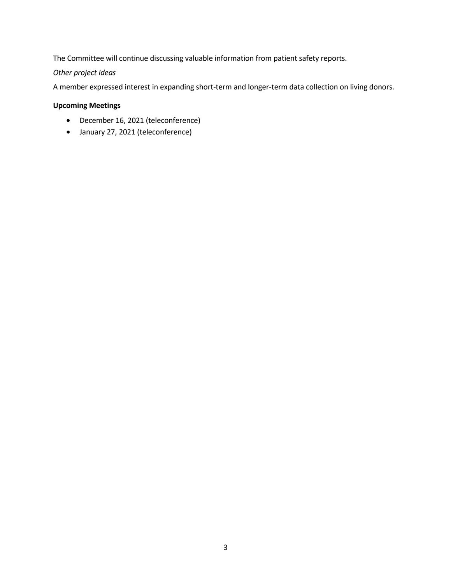The Committee will continue discussing valuable information from patient safety reports.

*Other project ideas*

A member expressed interest in expanding short-term and longer-term data collection on living donors.

# **Upcoming Meetings**

- December 16, 2021 (teleconference)
- January 27, 2021 (teleconference)